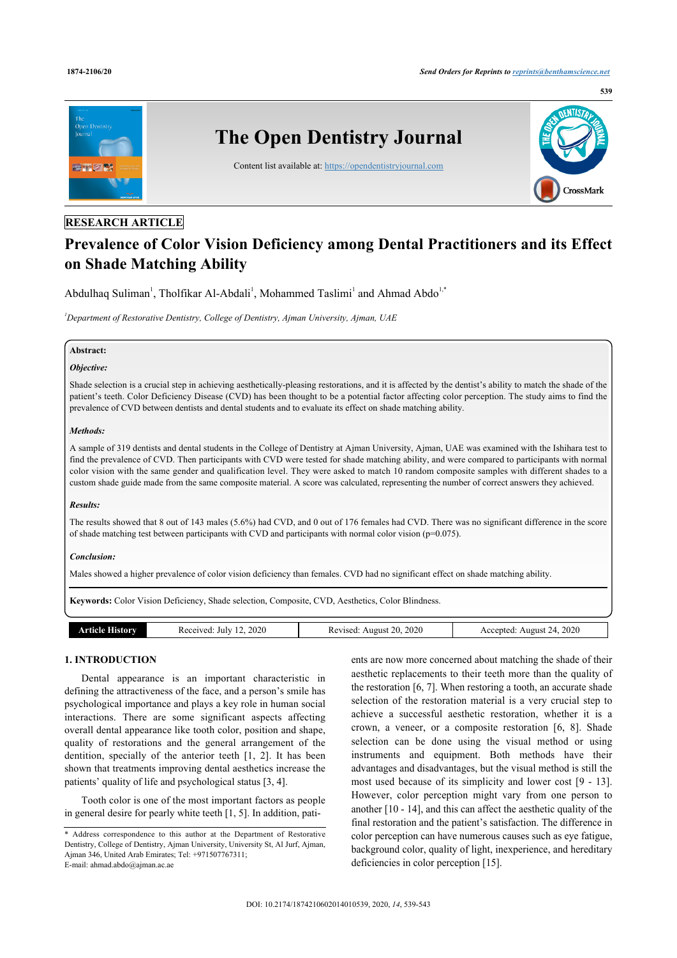

# **RESEARCH ARTICLE**

# **Prevalence of Color Vision Deficiency among Dental Practitioners and its Effect on Shade Matching Ability**

Abdulhaq Suliman<sup>1</sup>, Tholfikar Al-Abdali<sup>1</sup>, Mohammed Taslimi<sup>1</sup> and Ahmad Abdo<sup>1,\*</sup>

*<sup>1</sup>Department of Restorative Dentistry, College of Dentistry, Ajman University, Ajman, UAE*

## **Abstract:**

# *Objective:*

Shade selection is a crucial step in achieving aesthetically-pleasing restorations, and it is affected by the dentist's ability to match the shade of the patient's teeth. Color Deficiency Disease (CVD) has been thought to be a potential factor affecting color perception. The study aims to find the prevalence of CVD between dentists and dental students and to evaluate its effect on shade matching ability.

## *Methods:*

A sample of 319 dentists and dental students in the College of Dentistry at Ajman University, Ajman, UAE was examined with the Ishihara test to find the prevalence of CVD. Then participants with CVD were tested for shade matching ability, and were compared to participants with normal color vision with the same gender and qualification level. They were asked to match 10 random composite samples with different shades to a custom shade guide made from the same composite material. A score was calculated, representing the number of correct answers they achieved.

## *Results:*

The results showed that 8 out of 143 males (5.6%) had CVD, and 0 out of 176 females had CVD. There was no significant difference in the score of shade matching test between participants with CVD and participants with normal color vision ( $p=0.075$ ).

## *Conclusion:*

Males showed a higher prevalence of color vision deficiency than females. CVD had no significant effect on shade matching ability.

**Keywords:** Color Vision Deficiency, Shade selection, Composite, CVD, Aesthetics, Color Blindness.

| 2020<br>2020<br>2020<br>Article<br>20.<br>August 24.<br>Accepted:<br>Revised:<br>Received:<br>History<br>. July<br>August |  |  |
|---------------------------------------------------------------------------------------------------------------------------|--|--|
|                                                                                                                           |  |  |

# **1. INTRODUCTION**

Dental appearance is an important characteristic in defining the attractiveness of the face, and a person's smile has psychological importance and plays a key role in human social interactions. There are some significant aspects affecting overall dental appearance like tooth color, position and shape, quality of restorations and the general arrangement of the dentition, specially of the anterior teeth [1, 2]. It has been shown that treatments improving dental aesthetics increase the patients' quality of life and psychological status [3, 4].

Tooth color is one of the most important factors as people in general desire for pearly white teeth [1, 5]. In addition, patients are now more concerned about matching the shade of their aesthetic replacements to their teeth more than the quality of the restoration [6, 7]. When restoring a tooth, an accurate shade selection of the restoration material is a very crucial step to achieve a successful aesthetic restoration, whether it is a crown, a veneer, or a composite restoration [6, 8]. Shade selection can be done using the visual method or using instruments and equipment. Both methods have their advantages and disadvantages, but the visual method is still the most used because of its simplicity and lower cost [9 - 13]. However, color perception might vary from one person to another [10 - 14], and this can affect the aesthetic quality of the final restoration and the patient's satisfaction. The difference in color perception can have numerous causes such as eye fatigue, background color, quality of light, inexperience, and hereditary deficiencies in color perception [15].

<sup>\*</sup> Address correspondence to this author at the Department of Restorative Dentistry, College of Dentistry, Ajman University, University St, Al Jurf, Ajman, Ajman 346, United Arab Emirates; Tel: +971507767311; E-mail: ahmad.abdo@ajman.ac.ae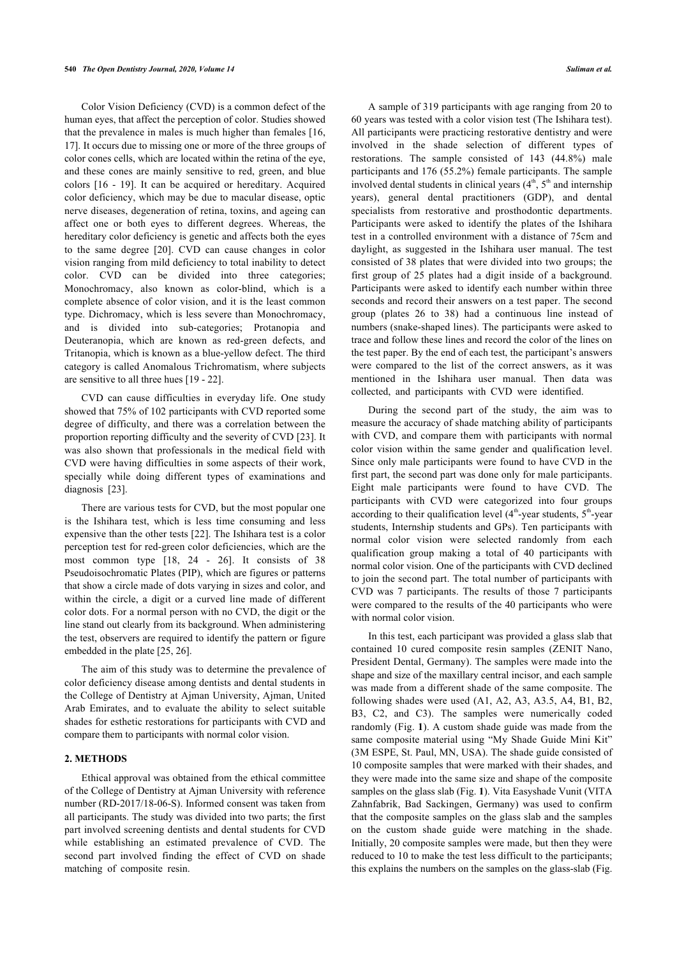Color Vision Deficiency (CVD) is a common defect of the human eyes, that affect the perception of color. Studies showed that the prevalence in males is much higher than females [16, 17]. It occurs due to missing one or more of the three groups of color cones cells, which are located within the retina of the eye, and these cones are mainly sensitive to red, green, and blue colors [16 - 19]. It can be acquired or hereditary. Acquired color deficiency, which may be due to macular disease, optic nerve diseases, degeneration of retina, toxins, and ageing can affect one or both eyes to different degrees. Whereas, the hereditary color deficiency is genetic and affects both the eyes to the same degree [20]. CVD can cause changes in color vision ranging from mild deficiency to total inability to detect color. CVD can be divided into three categories; Monochromacy, also known as color-blind, which is a complete absence of color vision, and it is the least common type. Dichromacy, which is less severe than Monochromacy, and is divided into sub-categories; Protanopia and Deuteranopia, which are known as red-green defects, and Tritanopia, which is known as a blue-yellow defect. The third category is called Anomalous Trichromatism, where subjects are sensitive to all three hues [19 - 22].

CVD can cause difficulties in everyday life. One study showed that 75% of 102 participants with CVD reported some degree of difficulty, and there was a correlation between the proportion reporting difficulty and the severity of CVD [23]. It was also shown that professionals in the medical field with CVD were having difficulties in some aspects of their work, specially while doing different types of examinations and diagnosis [23].

There are various tests for CVD, but the most popular one is the Ishihara test, which is less time consuming and less expensive than the other tests [22]. The Ishihara test is a color perception test for red-green color deficiencies, which are the most common type [18, 24 - 26]. It consists of 38 Pseudoisochromatic Plates (PIP), which are figures or patterns that show a circle made of dots varying in sizes and color, and within the circle, a digit or a curved line made of different color dots. For a normal person with no CVD, the digit or the line stand out clearly from its background. When administering the test, observers are required to identify the pattern or figure embedded in the plate [25, 26].

The aim of this study was to determine the prevalence of color deficiency disease among dentists and dental students in the College of Dentistry at Ajman University, Ajman, United Arab Emirates, and to evaluate the ability to select suitable shades for esthetic restorations for participants with CVD and compare them to participants with normal color vision.

## **2. METHODS**

Ethical approval was obtained from the ethical committee of the College of Dentistry at Ajman University with reference number (RD-2017/18-06-S). Informed consent was taken from all participants. The study was divided into two parts; the first part involved screening dentists and dental students for CVD while establishing an estimated prevalence of CVD. The second part involved finding the effect of CVD on shade matching of composite resin.

A sample of 319 participants with age ranging from 20 to 60 years was tested with a color vision test (The Ishihara test). All participants were practicing restorative dentistry and were involved in the shade selection of different types of restorations. The sample consisted of 143 (44.8%) male participants and 176 (55.2%) female participants. The sample involved dental students in clinical years  $(4<sup>th</sup>, 5<sup>th</sup>$  and internship years), general dental practitioners (GDP), and dental specialists from restorative and prosthodontic departments. Participants were asked to identify the plates of the Ishihara test in a controlled environment with a distance of 75cm and daylight, as suggested in the Ishihara user manual. The test consisted of 38 plates that were divided into two groups; the first group of 25 plates had a digit inside of a background. Participants were asked to identify each number within three seconds and record their answers on a test paper. The second group (plates 26 to 38) had a continuous line instead of numbers (snake-shaped lines). The participants were asked to trace and follow these lines and record the color of the lines on the test paper. By the end of each test, the participant's answers were compared to the list of the correct answers, as it was mentioned in the Ishihara user manual. Then data was collected, and participants with CVD were identified.

During the second part of the study, the aim was to measure the accuracy of shade matching ability of participants with CVD, and compare them with participants with normal color vision within the same gender and qualification level. Since only male participants were found to have CVD in the first part, the second part was done only for male participants. Eight male participants were found to have CVD. The participants with CVD were categorized into four groups according to their qualification level  $(4<sup>th</sup>-year$  students,  $5<sup>th</sup>-year$ students, Internship students and GPs). Ten participants with normal color vision were selected randomly from each qualification group making a total of 40 participants with normal color vision. One of the participants with CVD declined to join the second part. The total number of participants with CVD was 7 participants. The results of those 7 participants were compared to the results of the 40 participants who were with normal color vision.

In this test, each participant was provided a glass slab that contained 10 cured composite resin samples (ZENIT Nano, President Dental, Germany). The samples were made into the shape and size of the maxillary central incisor, and each sample was made from a different shade of the same composite. The following shades were used (A1, A2, A3, A3.5, A4, B1, B2, B3, C2, and C3). The samples were numerically coded randomly (Fig. **1**). A custom shade guide was made from the same composite material using "My Shade Guide Mini Kit" (3M ESPE, St. Paul, MN, USA). The shade guide consisted of 10 composite samples that were marked with their shades, and they were made into the same size and shape of the composite samples on the glass slab (Fig. **1**). Vita Easyshade Vunit (VITA Zahnfabrik, Bad Sackingen, Germany) was used to confirm that the composite samples on the glass slab and the samples on the custom shade guide were matching in the shade. Initially, 20 composite samples were made, but then they were reduced to 10 to make the test less difficult to the participants; this explains the numbers on the samples on the glass-slab (Fig.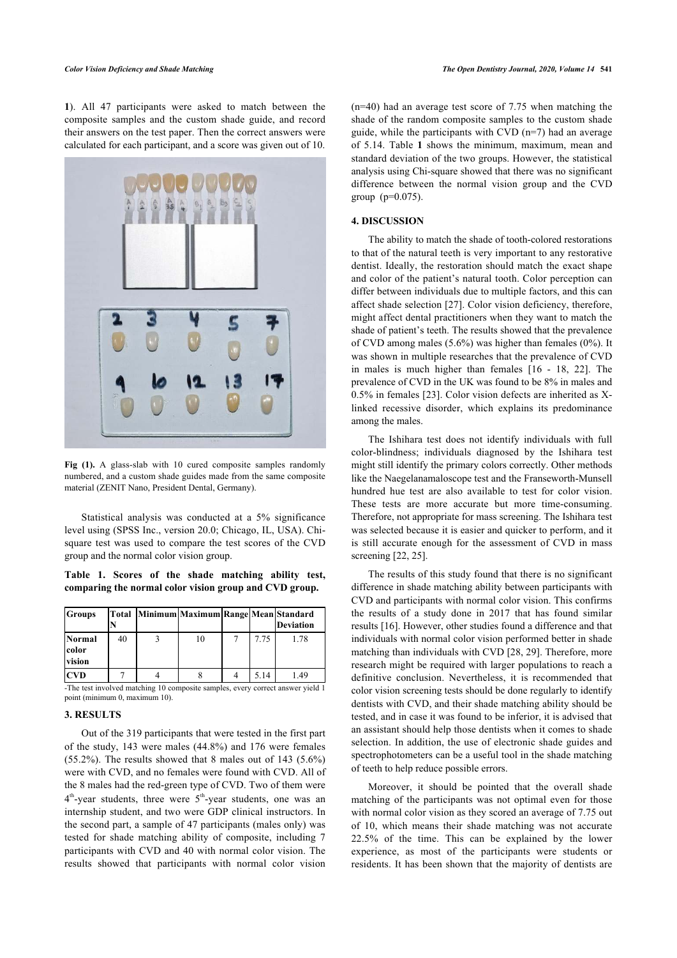**1**). All 47 participants were asked to match between the composite samples and the custom shade guide, and record their answers on the test paper. Then the correct answers were calculated for each participant, and a score was given out of 10.



**Fig (1).** A glass-slab with 10 cured composite samples randomly numbered, and a custom shade guides made from the same composite material (ZENIT Nano, President Dental, Germany).

Statistical analysis was conducted at a 5% significance level using (SPSS Inc., version 20.0; Chicago, IL, USA). Chisquare test was used to compare the test scores of the CVD group and the normal color vision group.

**Table 1. Scores of the shade matching ability test, comparing the normal color vision group and CVD group.**

| <b>Groups</b>             |    | Total Minimum Maximum Range Mean Standard |      | <b>Deviation</b> |
|---------------------------|----|-------------------------------------------|------|------------------|
| Normal<br>color<br>vision | 40 |                                           | 7.75 | 1.78             |
| <b>CVD</b>                |    |                                           | 5.14 | 1.49             |

-The test involved matching 10 composite samples, every correct answer yield 1 point (minimum 0, maximum 10).

# **3. RESULTS**

Out of the 319 participants that were tested in the first part of the study, 143 were males (44.8%) and 176 were females  $(55.2\%)$ . The results showed that 8 males out of 143  $(5.6\%)$ were with CVD, and no females were found with CVD. All of the 8 males had the red-green type of CVD. Two of them were 4<sup>th</sup>-year students, three were 5<sup>th</sup>-year students, one was an internship student, and two were GDP clinical instructors. In the second part, a sample of 47 participants (males only) was tested for shade matching ability of composite, including 7 participants with CVD and 40 with normal color vision. The results showed that participants with normal color vision

(n=40) had an average test score of 7.75 when matching the shade of the random composite samples to the custom shade guide, while the participants with CVD (n=7) had an average of 5.14. Table **1** shows the minimum, maximum, mean and standard deviation of the two groups. However, the statistical analysis using Chi-square showed that there was no significant difference between the normal vision group and the CVD group (p=0.075).

# **4. DISCUSSION**

The ability to match the shade of tooth-colored restorations to that of the natural teeth is very important to any restorative dentist. Ideally, the restoration should match the exact shape and color of the patient's natural tooth. Color perception can differ between individuals due to multiple factors, and this can affect shade selection [27]. Color vision deficiency, therefore, might affect dental practitioners when they want to match the shade of patient's teeth. The results showed that the prevalence of CVD among males (5.6%) was higher than females (0%). It was shown in multiple researches that the prevalence of CVD in males is much higher than females [16 - 18, 22]. The prevalence of CVD in the UK was found to be 8% in males and 0.5% in females [23]. Color vision defects are inherited as Xlinked recessive disorder, which explains its predominance among the males.

The Ishihara test does not identify individuals with full color-blindness; individuals diagnosed by the Ishihara test might still identify the primary colors correctly. Other methods like the Naegelanamaloscope test and the Franseworth-Munsell hundred hue test are also available to test for color vision. These tests are more accurate but more time-consuming. Therefore, not appropriate for mass screening. The Ishihara test was selected because it is easier and quicker to perform, and it is still accurate enough for the assessment of CVD in mass screening [22, 25].

The results of this study found that there is no significant difference in shade matching ability between participants with CVD and participants with normal color vision. This confirms the results of a study done in 2017 that has found similar results [16]. However, other studies found a difference and that individuals with normal color vision performed better in shade matching than individuals with CVD [28, 29]. Therefore, more research might be required with larger populations to reach a definitive conclusion. Nevertheless, it is recommended that color vision screening tests should be done regularly to identify dentists with CVD, and their shade matching ability should be tested, and in case it was found to be inferior, it is advised that an assistant should help those dentists when it comes to shade selection. In addition, the use of electronic shade guides and spectrophotometers can be a useful tool in the shade matching of teeth to help reduce possible errors.

Moreover, it should be pointed that the overall shade matching of the participants was not optimal even for those with normal color vision as they scored an average of 7.75 out of 10, which means their shade matching was not accurate 22.5% of the time. This can be explained by the lower experience, as most of the participants were students or residents. It has been shown that the majority of dentists are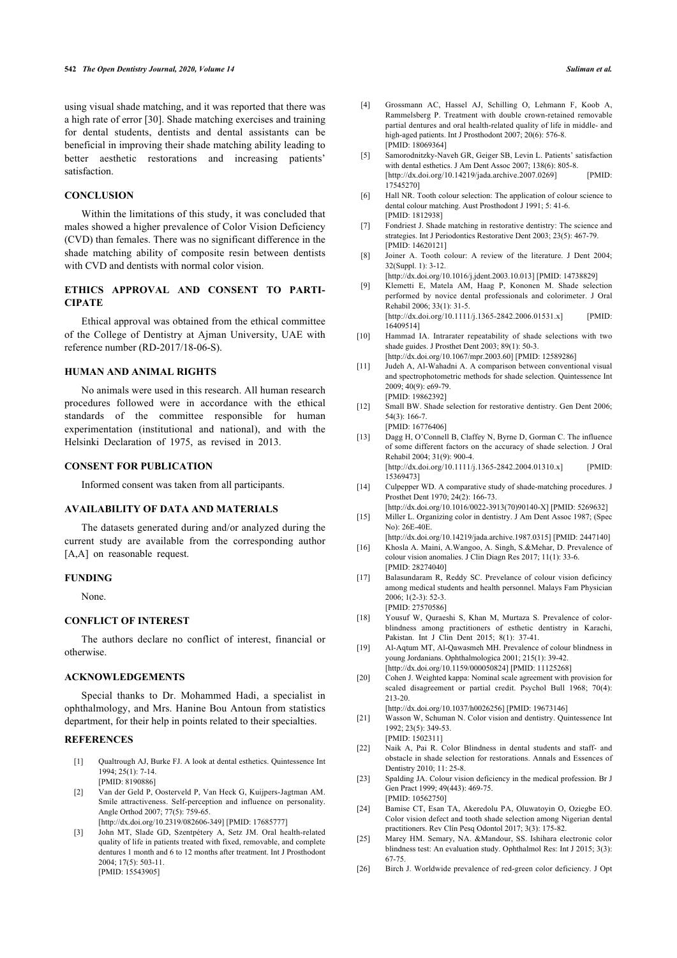using visual shade matching, and it was reported that there was a high rate of error [30]. Shade matching exercises and training for dental students, dentists and dental assistants can be beneficial in improving their shade matching ability leading to better aesthetic restorations and increasing patients' satisfaction.

#### **CONCLUSION**

Within the limitations of this study, it was concluded that males showed a higher prevalence of Color Vision Deficiency (CVD) than females. There was no significant difference in the shade matching ability of composite resin between dentists with CVD and dentists with normal color vision.

## **ETHICS APPROVAL AND CONSENT TO PARTI-CIPATE**

Ethical approval was obtained from the ethical committee of the College of Dentistry at Ajman University, UAE with reference number (RD-2017/18-06-S).

# **HUMAN AND ANIMAL RIGHTS**

No animals were used in this research. All human research procedures followed were in accordance with the ethical standards of the committee responsible for human experimentation (institutional and national), and with the Helsinki Declaration of 1975, as revised in 2013.

## **CONSENT FOR PUBLICATION**

Informed consent was taken from all participants.

## **AVAILABILITY OF DATA AND MATERIALS**

The datasets generated during and/or analyzed during the current study are available from the corresponding author [A,A] on reasonable request.

## **FUNDING**

None.

# **CONFLICT OF INTEREST**

The authors declare no conflict of interest, financial or otherwise.

#### **ACKNOWLEDGEMENTS**

Special thanks to Dr. Mohammed Hadi, a specialist in ophthalmology, and Mrs. Hanine Bou Antoun from statistics department, for their help in points related to their specialties.

# **REFERENCES**

- [1] Qualtrough AJ, Burke FJ. A look at dental esthetics. Quintessence Int 1994; 25(1): 7-14. [PMID: 8190886]
- [2] Van der Geld P, Oosterveld P, Van Heck G, Kuijpers-Jagtman AM. Smile attractiveness. Self-perception and influence on personality. Angle Orthod 2007; 77(5): 759-65.
- [http://dx.doi.org/10.2319/082606-349] [PMID: 17685777] [3] John MT, Slade GD, Szentpétery A, Setz JM. Oral health-related quality of life in patients treated with fixed, removable, and complete dentures 1 month and 6 to 12 months after treatment. Int J Prosthodont 2004; 17(5): 503-11. [PMID: 15543905]
- [4] Grossmann AC, Hassel AJ, Schilling O, Lehmann F, Koob A, Rammelsberg P. Treatment with double crown-retained removable partial dentures and oral health-related quality of life in middle- and high-aged patients. Int J Prosthodont 2007; 20(6): 576-8. [PMID: 18069364]
- [5] Samorodnitzky-Naveh GR, Geiger SB, Levin L. Patients' satisfaction with dental esthetics. J Am Dent Assoc 2007; 138(6): 805-8. [http://dx.doi.org/10.14219/jada.archive.2007.0269] [PMID: 17545270]
- [6] Hall NR. Tooth colour selection: The application of colour science to dental colour matching. Aust Prosthodont J 1991; 5: 41-6. [PMID: 1812938]
- [7] Fondriest J. Shade matching in restorative dentistry: The science and strategies. Int J Periodontics Restorative Dent 2003; 23(5): 467-79. [PMID: 14620121]
- [8] Joiner A. Tooth colour: A review of the literature. J Dent 2004; 32(Suppl. 1): 3-12.
- [http://dx.doi.org/10.1016/j.jdent.2003.10.013] [PMID: 14738829]
- [9] Klemetti E, Matela AM, Haag P, Kononen M. Shade selection performed by novice dental professionals and colorimeter. J Oral Rehabil 2006; 33(1): 31-5.

[http://dx.doi.org/10.1111/j.1365-2842.2006.01531.x] [PMID: 16409514]

- [10] Hammad IA. Intrarater repeatability of shade selections with two shade guides. J Prosthet Dent 2003; 89(1): 50-3. [http://dx.doi.org/10.1067/mpr.2003.60] [PMID: 12589286]
- [11] Judeh A, Al-Wahadni A. A comparison between conventional visual and spectrophotometric methods for shade selection. Quintessence Int  $2009 \cdot 40(9) \cdot e69 - 79$ . [PMID: 19862392]
- [12] Small BW. Shade selection for restorative dentistry. Gen Dent 2006; 54(3): 166-7. [PMID: 16776406]
- [13] Dagg H, O'Connell B, Claffey N, Byrne D, Gorman C. The influence of some different factors on the accuracy of shade selection. J Oral Rehabil 2004; 31(9): 900-4. [http://dx.doi.org/10.1111/j.1365-2842.2004.01310.x] [PMID: 15369473]
- [14] Culpepper WD. A comparative study of shade-matching procedures. J Prosthet Dent 1970; 24(2): 166-73.
- [http://dx.doi.org/10.1016/0022-3913(70)90140-X] [PMID: 5269632] [15] Miller L. Organizing color in dentistry. J Am Dent Assoc 1987; (Spec No): 26E-40E.
- [http://dx.doi.org/10.14219/jada.archive.1987.0315] [PMID: 2447140] [16] Khosla A. Maini, A.Wangoo, A. Singh, S.&Mehar, D. Prevalence of
- colour vision anomalies. J Clin Diagn Res 2017; 11(1): 33-6. [PMID: 28274040]
- [17] Balasundaram R, Reddy SC. Prevelance of colour vision deficincy among medical students and health personnel. Malays Fam Physician 2006; 1(2-3): 52-3. [PMID: 27570586]
- [18] Yousuf W, Quraeshi S, Khan M, Murtaza S. Prevalence of colorblindness among practitioners of esthetic dentistry in Karachi, Pakistan. Int J Clin Dent 2015; 8(1): 37-41.
- [19] Al-Aqtum MT, Al-Qawasmeh MH. Prevalence of colour blindness in young Jordanians. Ophthalmologica 2001; 215(1): 39-42. [http://dx.doi.org/10.1159/000050824] [PMID: 11125268]
- [20] Cohen J. Weighted kappa: Nominal scale agreement with provision for scaled disagreement or partial credit. Psychol Bull 1968; 70(4): 213-20.

- [21] Wasson W, Schuman N. Color vision and dentistry. Quintessence Int 1992; 23(5): 349-53. [PMID: 1502311]
- [22] Naik A, Pai R. Color Blindness in dental students and staff- and obstacle in shade selection for restorations. Annals and Essences of Dentistry 2010; 11: 25-8.
- [23] Spalding JA. Colour vision deficiency in the medical profession. Br J Gen Pract 1999; 49(443): 469-75. [PMID: 10562750]
- [24] Bamise CT, Esan TA, Akeredolu PA, Oluwatoyin O, Oziegbe EO. Color vision defect and tooth shade selection among Nigerian dental practitioners. Rev Clín Pesq Odontol 2017; 3(3): 175-82.
- [25] Marey HM. Semary, NA. &Mandour, SS. Ishihara electronic color blindness test: An evaluation study. Ophthalmol Res: Int J 2015; 3(3): 67-75.
- [26] Birch J. Worldwide prevalence of red-green color deficiency. J Opt

<sup>[</sup>http://dx.doi.org/10.1037/h0026256] [PMID: 19673146]